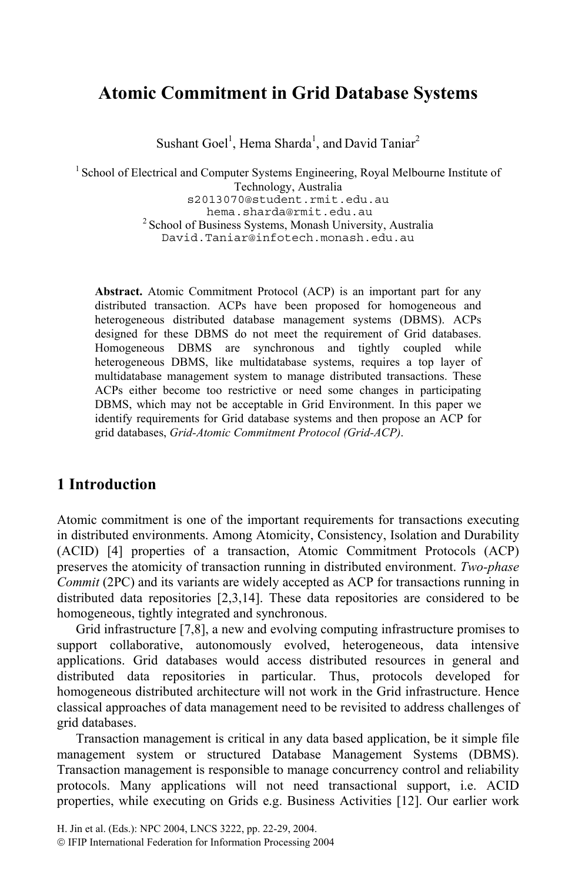# **Atomic Commitment in Grid Database Systems**

Sushant Goel<sup>1</sup>, Hema Sharda<sup>1</sup>, and David Taniar<sup>2</sup>

<sup>1</sup> School of Electrical and Computer Systems Engineering, Royal Melbourne Institute of Technology, Australia s2013070@student.rmit.edu.au<br>hema.sharda@rmit.edu.au  $h^2$  School of Business Systems, Monash University, Australia David.Taniar@infotech.monash.edu.au

**Abstract.** Atomic Commitment Protocol (ACP) is an important part for any distributed transaction. ACPs have been proposed for homogeneous and heterogeneous distributed database management systems (DBMS). ACPs designed for these DBMS do not meet the requirement of Grid databases. Homogeneous DBMS are synchronous and tightly coupled while heterogeneous DBMS, like multidatabase systems, requires a top layer of multidatabase management system to manage distributed transactions. These ACPs either become too restrictive or need some changes in participating DBMS, which may not be acceptable in Grid Environment. In this paper we identify requirements for Grid database systems and then propose an ACP for grid databases, *Grid-Atomic Commitment Protocol (Grid-ACP)*.

## **1 Introduction**

Atomic commitment is one of the important requirements for transactions executing in distributed environments. Among Atomicity, Consistency, Isolation and Durability (ACID) [4] properties of a transaction, Atomic Commitment Protocols (ACP) preserves the atomicity of transaction running in distributed environment. *Two-phase Commit* (2PC) and its variants are widely accepted as ACP for transactions running in distributed data repositories [2,3,14]. These data repositories are considered to be homogeneous, tightly integrated and synchronous.

Grid infrastructure [7,8], a new and evolving computing infrastructure promises to support collaborative, autonomously evolved, heterogeneous, data intensive applications. Grid databases would access distributed resources in general and distributed data repositories in particular. Thus, protocols developed for homogeneous distributed architecture will not work in the Grid infrastructure. Hence classical approaches of data management need to be revisited to address challenges of grid databases.

Transaction management is critical in any data based application, be it simple file management system or structured Database Management Systems (DBMS). Transaction management is responsible to manage concurrency control and reliability protocols. Many applications will not need transactional support, i.e. ACID properties, while executing on Grids e.g. Business Activities [12]. Our earlier work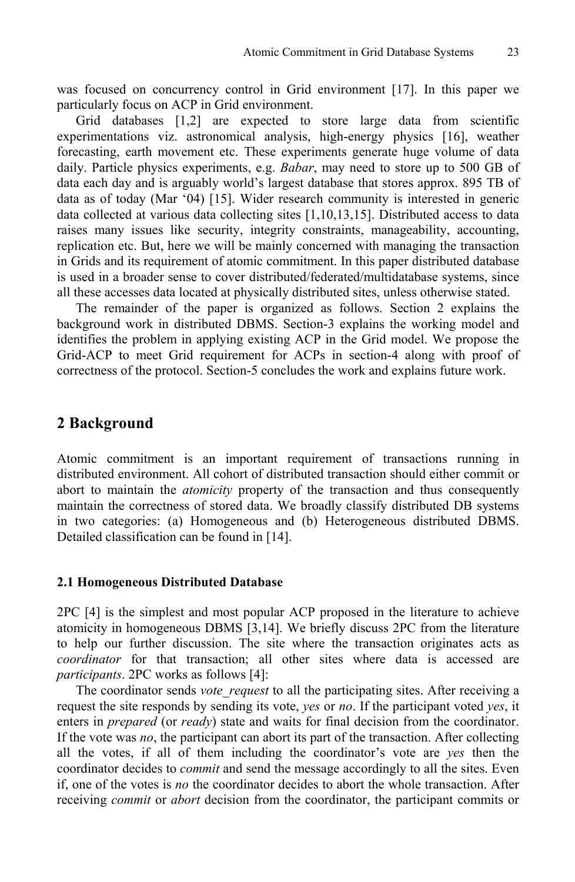was focused on concurrency control in Grid environment [17]. In this paper we particularly focus on ACP in Grid environment.

Grid databases [1,2] are expected to store large data from scientific experimentations viz. astronomical analysis, high-energy physics [16], weather forecasting, earth movement etc. These experiments generate huge volume of data daily. Particle physics experiments, e.g. *Babar*, may need to store up to 500 GB of data each day and is arguably world's largest database that stores approx. 895 TB of data as of today (Mar '04) [15]. Wider research community is interested in generic data collected at various data collecting sites [1,10,13,15]. Distributed access to data raises many issues like security, integrity constraints, manageability, accounting, replication etc. But, here we will be mainly concerned with managing the transaction in Grids and its requirement of atomic commitment. In this paper distributed database is used in a broader sense to cover distributed/federated/multidatabase systems, since all these accesses data located at physically distributed sites, unless otherwise stated.

The remainder of the paper is organized as follows. Section 2 explains the background work in distributed DBMS. Section-3 explains the working model and identifies the problem in applying existing ACP in the Grid model. We propose the Grid-ACP to meet Grid requirement for ACPs in section-4 along with proof of correctness of the protocol. Section-5 concludes the work and explains future work.

### **2 Background**

Atomic commitment is an important requirement of transactions running in distributed environment. All cohort of distributed transaction should either commit or abort to maintain the *atomicity* property of the transaction and thus consequently maintain the correctness of stored data. We broadly classify distributed DB systems in two categories: (a) Homogeneous and (b) Heterogeneous distributed DBMS. Detailed classification can be found in [14].

#### **2.1 Homogeneous Distributed Database**

2PC [4] is the simplest and most popular ACP proposed in the literature to achieve atomicity in homogeneous DBMS [3,14]. We briefly discuss 2PC from the literature to help our further discussion. The site where the transaction originates acts as *coordinator* for that transaction; all other sites where data is accessed are *participants*. 2PC works as follows [4]:

The coordinator sends *vote request* to all the participating sites. After receiving a request the site responds by sending its vote, *yes* or *no*. If the participant voted *yes*, it enters in *prepared* (or *ready*) state and waits for final decision from the coordinator. If the vote was *no*, the participant can abort its part of the transaction. After collecting all the votes, if all of them including the coordinator's vote are *yes* then the coordinator decides to *commit* and send the message accordingly to all the sites. Even if, one of the votes is *no* the coordinator decides to abort the whole transaction. After receiving *commit* or *abort* decision from the coordinator, the participant commits or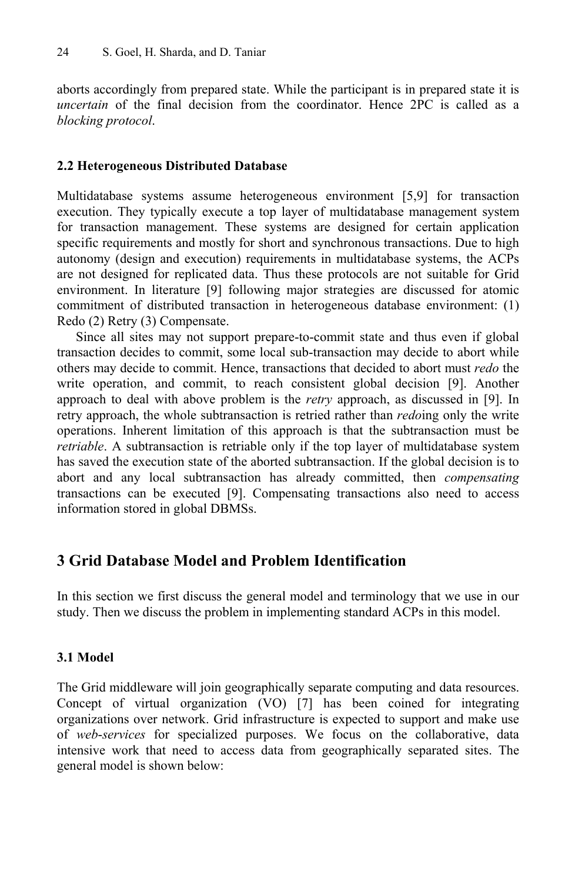aborts accordingly from prepared state. While the participant is in prepared state it is *uncertain* of the final decision from the coordinator. Hence 2PC is called as a *blocking protocol*.

### **2.2 Heterogeneous Distributed Database**

Multidatabase systems assume heterogeneous environment [5,9] for transaction execution. They typically execute a top layer of multidatabase management system for transaction management. These systems are designed for certain application specific requirements and mostly for short and synchronous transactions. Due to high autonomy (design and execution) requirements in multidatabase systems, the ACPs are not designed for replicated data. Thus these protocols are not suitable for Grid environment. In literature [9] following major strategies are discussed for atomic commitment of distributed transaction in heterogeneous database environment: (1) Redo (2) Retry (3) Compensate.

Since all sites may not support prepare-to-commit state and thus even if global transaction decides to commit, some local sub-transaction may decide to abort while others may decide to commit. Hence, transactions that decided to abort must *redo* the write operation, and commit, to reach consistent global decision [9]. Another approach to deal with above problem is the *retry* approach, as discussed in [9]. In retry approach, the whole subtransaction is retried rather than *redo*ing only the write operations. Inherent limitation of this approach is that the subtransaction must be *retriable*. A subtransaction is retriable only if the top layer of multidatabase system has saved the execution state of the aborted subtransaction. If the global decision is to abort and any local subtransaction has already committed, then *compensating* transactions can be executed [9]. Compensating transactions also need to access information stored in global DBMSs.

## **3 Grid Database Model and Problem Identification**

In this section we first discuss the general model and terminology that we use in our study. Then we discuss the problem in implementing standard ACPs in this model.

### **3.1 Model**

The Grid middleware will join geographically separate computing and data resources. Concept of virtual organization (VO) [7] has been coined for integrating organizations over network. Grid infrastructure is expected to support and make use of *web*-*services* for specialized purposes. We focus on the collaborative, data intensive work that need to access data from geographically separated sites. The general model is shown below: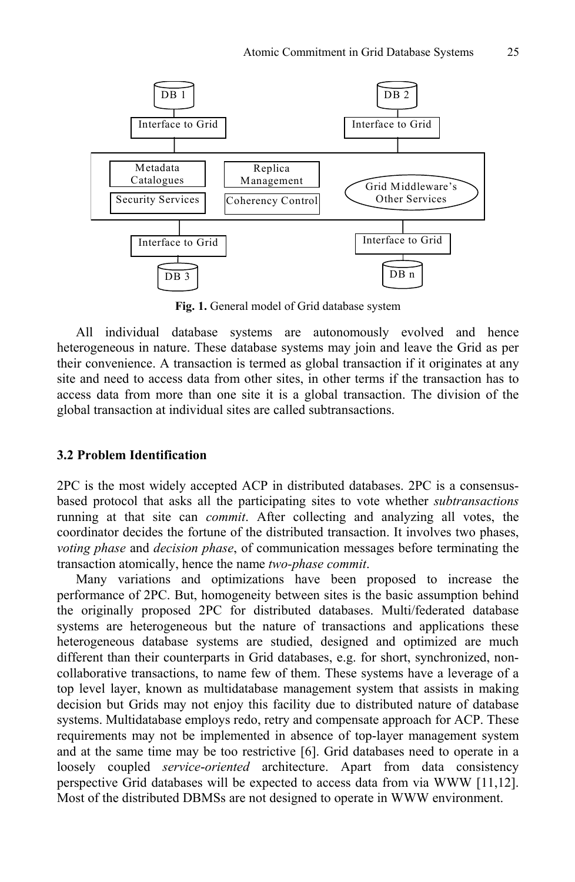

**Fig. 1.** General model of Grid database system

All individual database systems are autonomously evolved and hence heterogeneous in nature. These database systems may join and leave the Grid as per their convenience. A transaction is termed as global transaction if it originates at any site and need to access data from other sites, in other terms if the transaction has to access data from more than one site it is a global transaction. The division of the global transaction at individual sites are called subtransactions.

#### **3.2 Problem Identification**

2PC is the most widely accepted ACP in distributed databases. 2PC is a consensusbased protocol that asks all the participating sites to vote whether *subtransactions* running at that site can *commit*. After collecting and analyzing all votes, the coordinator decides the fortune of the distributed transaction. It involves two phases, *voting phase* and *decision phase*, of communication messages before terminating the transaction atomically, hence the name *two-phase commit*.

Many variations and optimizations have been proposed to increase the performance of 2PC. But, homogeneity between sites is the basic assumption behind the originally proposed 2PC for distributed databases. Multi/federated database systems are heterogeneous but the nature of transactions and applications these heterogeneous database systems are studied, designed and optimized are much different than their counterparts in Grid databases, e.g. for short, synchronized, noncollaborative transactions, to name few of them. These systems have a leverage of a top level layer, known as multidatabase management system that assists in making decision but Grids may not enjoy this facility due to distributed nature of database systems. Multidatabase employs redo, retry and compensate approach for ACP. These requirements may not be implemented in absence of top-layer management system and at the same time may be too restrictive [6]. Grid databases need to operate in a loosely coupled *service*-*oriented* architecture. Apart from data consistency perspective Grid databases will be expected to access data from via WWW [11,12]. Most of the distributed DBMSs are not designed to operate in WWW environment.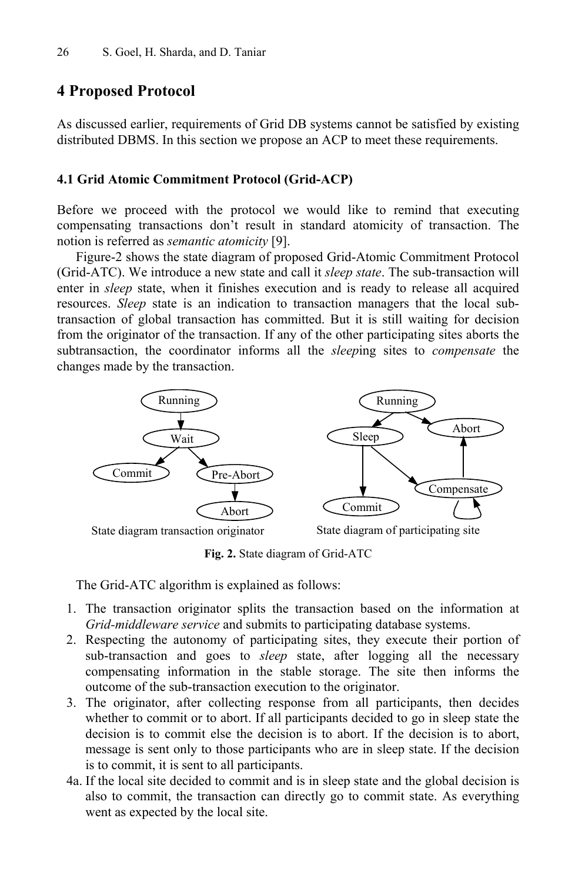## **4 Proposed Protocol**

As discussed earlier, requirements of Grid DB systems cannot be satisfied by existing distributed DBMS. In this section we propose an ACP to meet these requirements.

### **4.1 Grid Atomic Commitment Protocol (Grid-ACP)**

Before we proceed with the protocol we would like to remind that executing compensating transactions don't result in standard atomicity of transaction. The notion is referred as *semantic atomicity* [9].

Figure-2 shows the state diagram of proposed Grid-Atomic Commitment Protocol (Grid-ATC). We introduce a new state and call it *sleep state*. The sub-transaction will enter in *sleep* state, when it finishes execution and is ready to release all acquired resources. *Sleep* state is an indication to transaction managers that the local subtransaction of global transaction has committed. But it is still waiting for decision from the originator of the transaction. If any of the other participating sites aborts the subtransaction, the coordinator informs all the *sleep*ing sites to *compensate* the changes made by the transaction.



**Fig. 2.** State diagram of Grid-ATC

The Grid-ATC algorithm is explained as follows:

- 1. The transaction originator splits the transaction based on the information at *Grid-middleware service* and submits to participating database systems.
- 2. Respecting the autonomy of participating sites, they execute their portion of sub-transaction and goes to *sleep* state, after logging all the necessary compensating information in the stable storage. The site then informs the outcome of the sub-transaction execution to the originator.
- 3. The originator, after collecting response from all participants, then decides whether to commit or to abort. If all participants decided to go in sleep state the decision is to commit else the decision is to abort. If the decision is to abort, message is sent only to those participants who are in sleep state. If the decision is to commit, it is sent to all participants.
- 4a. If the local site decided to commit and is in sleep state and the global decision is also to commit, the transaction can directly go to commit state. As everything went as expected by the local site.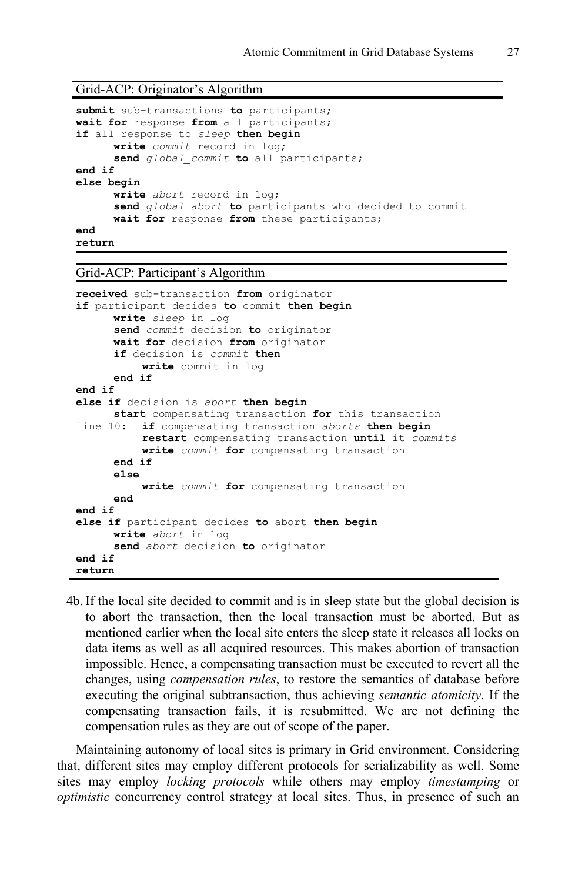```
Grid-ACP: Originator's Algorithm
```

```
submit sub-transactions to participants; 
wait for response from all participants; 
if all response to sleep then begin 
       write commit record in log; 
       send global_commit to all participants; 
end if 
else begin 
       write abort record in log; 
       send global_abort to participants who decided to commit 
       wait for response from these participants; 
end 
return
```
Grid-ACP: Participant's Algorithm

-<br>-

```
received sub-transaction from originator 
if participant decides to commit then begin 
       write sleep in log 
       send commit decision to originator 
       wait for decision from originator 
       if decision is commit then 
          write commit in log 
      end if 
end if
else if decision is abort then begin 
       start compensating transaction for this transaction 
line 10: if compensating transaction aborts then begin
           restart compensating transaction until it commits
           write commit for compensating transaction 
       end if
       else 
           write commit for compensating transaction 
       end 
end if 
else if participant decides to abort then begin 
       write abort in log 
       send abort decision to originator 
end if
return
```
4b.If the local site decided to commit and is in sleep state but the global decision is to abort the transaction, then the local transaction must be aborted. But as mentioned earlier when the local site enters the sleep state it releases all locks on data items as well as all acquired resources. This makes abortion of transaction impossible. Hence, a compensating transaction must be executed to revert all the changes, using *compensation rules*, to restore the semantics of database before executing the original subtransaction, thus achieving *semantic atomicity*. If the compensating transaction fails, it is resubmitted. We are not defining the compensation rules as they are out of scope of the paper.

Maintaining autonomy of local sites is primary in Grid environment. Considering that, different sites may employ different protocols for serializability as well. Some sites may employ *locking protocols* while others may employ *timestamping* or *optimistic* concurrency control strategy at local sites. Thus, in presence of such an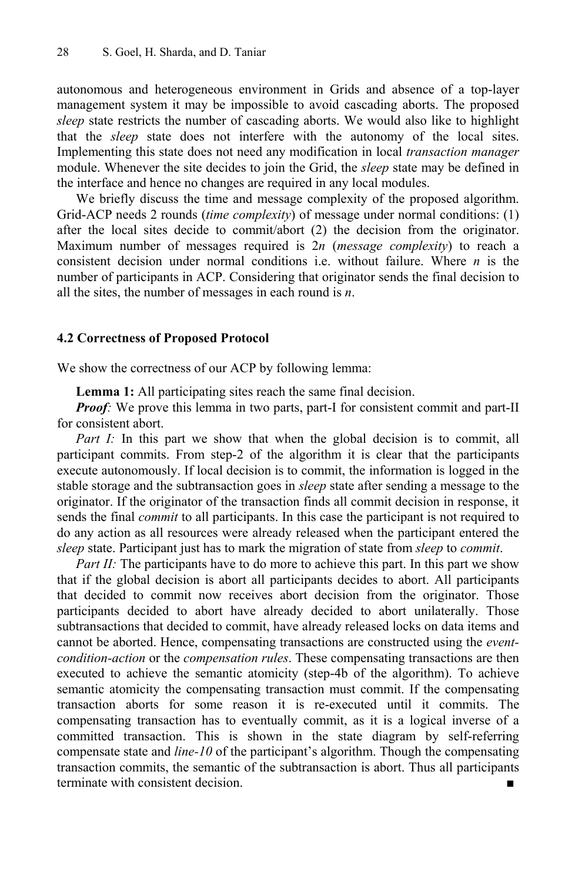autonomous and heterogeneous environment in Grids and absence of a top-layer management system it may be impossible to avoid cascading aborts. The proposed *sleep* state restricts the number of cascading aborts. We would also like to highlight that the *sleep* state does not interfere with the autonomy of the local sites. Implementing this state does not need any modification in local *transaction manager* module. Whenever the site decides to join the Grid, the *sleep* state may be defined in the interface and hence no changes are required in any local modules.

We briefly discuss the time and message complexity of the proposed algorithm. Grid-ACP needs 2 rounds (*time complexity*) of message under normal conditions: (1) after the local sites decide to commit/abort (2) the decision from the originator. Maximum number of messages required is 2*n* (*message complexity*) to reach a consistent decision under normal conditions i.e. without failure. Where *n* is the number of participants in ACP. Considering that originator sends the final decision to all the sites, the number of messages in each round is *n*.

#### **4.2 Correctness of Proposed Protocol**

We show the correctness of our ACP by following lemma:

**Lemma 1:** All participating sites reach the same final decision.

*Proof:* We prove this lemma in two parts, part-I for consistent commit and part-II for consistent abort.

*Part I:* In this part we show that when the global decision is to commit, all participant commits. From step-2 of the algorithm it is clear that the participants execute autonomously. If local decision is to commit, the information is logged in the stable storage and the subtransaction goes in *sleep* state after sending a message to the originator. If the originator of the transaction finds all commit decision in response, it sends the final *commit* to all participants. In this case the participant is not required to do any action as all resources were already released when the participant entered the *sleep* state. Participant just has to mark the migration of state from *sleep* to *commit*.

*Part II:* The participants have to do more to achieve this part. In this part we show that if the global decision is abort all participants decides to abort. All participants that decided to commit now receives abort decision from the originator. Those participants decided to abort have already decided to abort unilaterally. Those subtransactions that decided to commit, have already released locks on data items and cannot be aborted. Hence, compensating transactions are constructed using the *eventcondition-action* or the *compensation rules*. These compensating transactions are then executed to achieve the semantic atomicity (step-4b of the algorithm). To achieve semantic atomicity the compensating transaction must commit. If the compensating transaction aborts for some reason it is re-executed until it commits. The compensating transaction has to eventually commit, as it is a logical inverse of a committed transaction. This is shown in the state diagram by self-referring compensate state and *line-10* of the participant's algorithm. Though the compensating transaction commits, the semantic of the subtransaction is abort. Thus all participants terminate with consistent decision